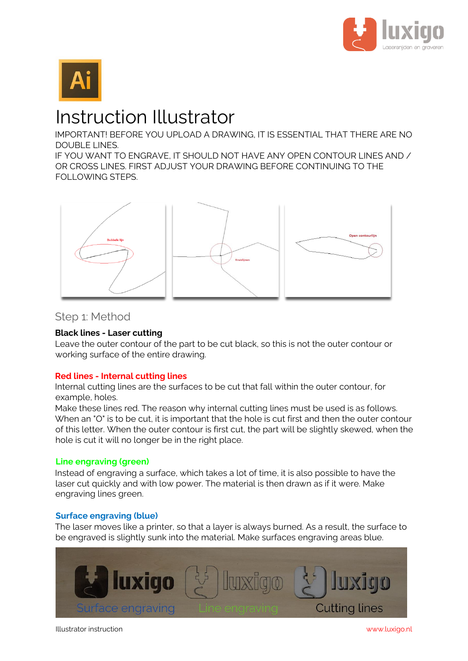



# Instruction Illustrator

IMPORTANT! BEFORE YOU UPLOAD A DRAWING, IT IS ESSENTIAL THAT THERE ARE NO DOUBLE LINES.

IF YOU WANT TO ENGRAVE, IT SHOULD NOT HAVE ANY OPEN CONTOUR LINES AND / OR CROSS LINES. FIRST ADJUST YOUR DRAWING BEFORE CONTINUING TO THE FOLLOWING STEPS.



## Step 1: Method

## **Black lines - Laser cutting**

Leave the outer contour of the part to be cut black, so this is not the outer contour or working surface of the entire drawing.

## **Red lines - Internal cutting lines**

Internal cutting lines are the surfaces to be cut that fall within the outer contour, for example, holes.

Make these lines red. The reason why internal cutting lines must be used is as follows. When an "O" is to be cut, it is important that the hole is cut first and then the outer contour of this letter. When the outer contour is first cut, the part will be slightly skewed, when the hole is cut it will no longer be in the right place.

## **Line engraving (green)**

Instead of engraving a surface, which takes a lot of time, it is also possible to have the laser cut quickly and with low power. The material is then drawn as if it were. Make engraving lines green.

## **Surface engraving (blue)**

The laser moves like a printer, so that a layer is always burned. As a result, the surface to be engraved is slightly sunk into the material. Make surfaces engraving areas blue.



Illustrator instruction www.luxigo.nl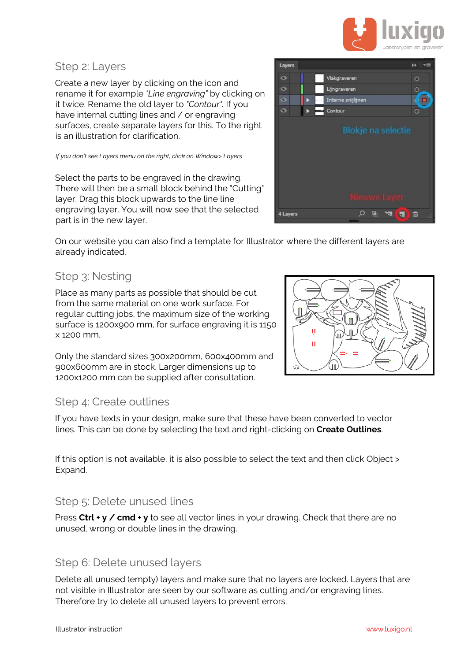

## Step 2: Layers

Create a new layer by clicking on the icon and rename it for example *"Line engraving"* by clicking on it twice. Rename the old layer to *"Contour".* If you have internal cutting lines and / or engraving surfaces, create separate layers for this. To the right is an illustration for clarification.

*If you don't see Layers menu on the right, click on Window> Layers* 

Select the parts to be engraved in the drawing. There will then be a small block behind the "Cutting" layer. Drag this block upwards to the line line engraving layer. You will now see that the selected part is in the new layer.

On our website you can also find a template for Illustrator where the different layers are already indicated.

# Step 3: Nesting

Place as many parts as possible that should be cut from the same material on one work surface. For regular cutting jobs, the maximum size of the working surface is 1200x900 mm, for surface engraving it is 1150 x 1200 mm.

Only the standard sizes 300x200mm, 600x400mm and 900x600mm are in stock. Larger dimensions up to 1200x1200 mm can be supplied after consultation.

# Step 4: Create outlines

If you have texts in your design, make sure that these have been converted to vector lines. This can be done by selecting the text and right-clicking on **Create Outlines**.

If this option is not available, it is also possible to select the text and then click Object > Expand.

## Step 5: Delete unused lines

Press **Ctrl + y / cmd + y** to see all vector lines in your drawing. Check that there are no unused, wrong or double lines in the drawing.

## Step 6: Delete unused layers

Delete all unused (empty) layers and make sure that no layers are locked. Layers that are not visible in Illustrator are seen by our software as cutting and/or engraving lines. Therefore try to delete all unused layers to prevent errors.